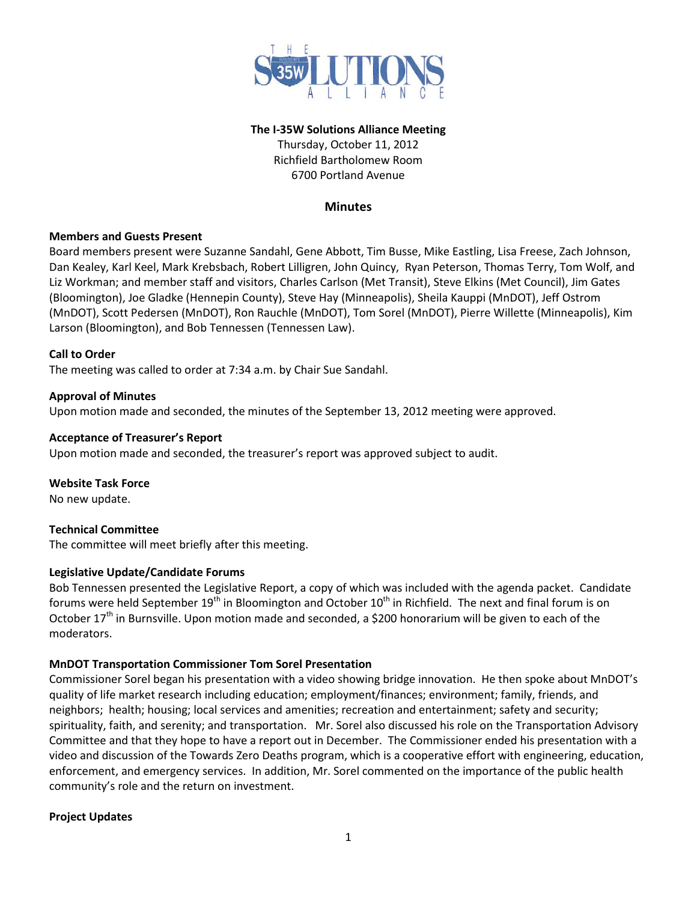

#### **The I-35W Solutions Alliance Meeting**

Thursday, October 11, 2012 Richfield Bartholomew Room 6700 Portland Avenue

## **Minutes**

#### **Members and Guests Present**

Board members present were Suzanne Sandahl, Gene Abbott, Tim Busse, Mike Eastling, Lisa Freese, Zach Johnson, Dan Kealey, Karl Keel, Mark Krebsbach, Robert Lilligren, John Quincy, Ryan Peterson, Thomas Terry, Tom Wolf, and Liz Workman; and member staff and visitors, Charles Carlson (Met Transit), Steve Elkins (Met Council), Jim Gates (Bloomington), Joe Gladke (Hennepin County), Steve Hay (Minneapolis), Sheila Kauppi (MnDOT), Jeff Ostrom (MnDOT), Scott Pedersen (MnDOT), Ron Rauchle (MnDOT), Tom Sorel (MnDOT), Pierre Willette (Minneapolis), Kim Larson (Bloomington), and Bob Tennessen (Tennessen Law).

## **Call to Order**

The meeting was called to order at 7:34 a.m. by Chair Sue Sandahl.

#### **Approval of Minutes**

Upon motion made and seconded, the minutes of the September 13, 2012 meeting were approved.

#### **Acceptance of Treasurer's Report**

Upon motion made and seconded, the treasurer's report was approved subject to audit.

**Website Task Force** 

No new update.

## **Technical Committee**

The committee will meet briefly after this meeting.

## **Legislative Update/Candidate Forums**

Bob Tennessen presented the Legislative Report, a copy of which was included with the agenda packet. Candidate forums were held September 19<sup>th</sup> in Bloomington and October 10<sup>th</sup> in Richfield. The next and final forum is on October 17<sup>th</sup> in Burnsville. Upon motion made and seconded, a \$200 honorarium will be given to each of the moderators.

## **MnDOT Transportation Commissioner Tom Sorel Presentation**

Commissioner Sorel began his presentation with a video showing bridge innovation. He then spoke about MnDOT's quality of life market research including education; employment/finances; environment; family, friends, and neighbors; health; housing; local services and amenities; recreation and entertainment; safety and security; spirituality, faith, and serenity; and transportation. Mr. Sorel also discussed his role on the Transportation Advisory Committee and that they hope to have a report out in December. The Commissioner ended his presentation with a video and discussion of the Towards Zero Deaths program, which is a cooperative effort with engineering, education, enforcement, and emergency services. In addition, Mr. Sorel commented on the importance of the public health community's role and the return on investment.

## **Project Updates**